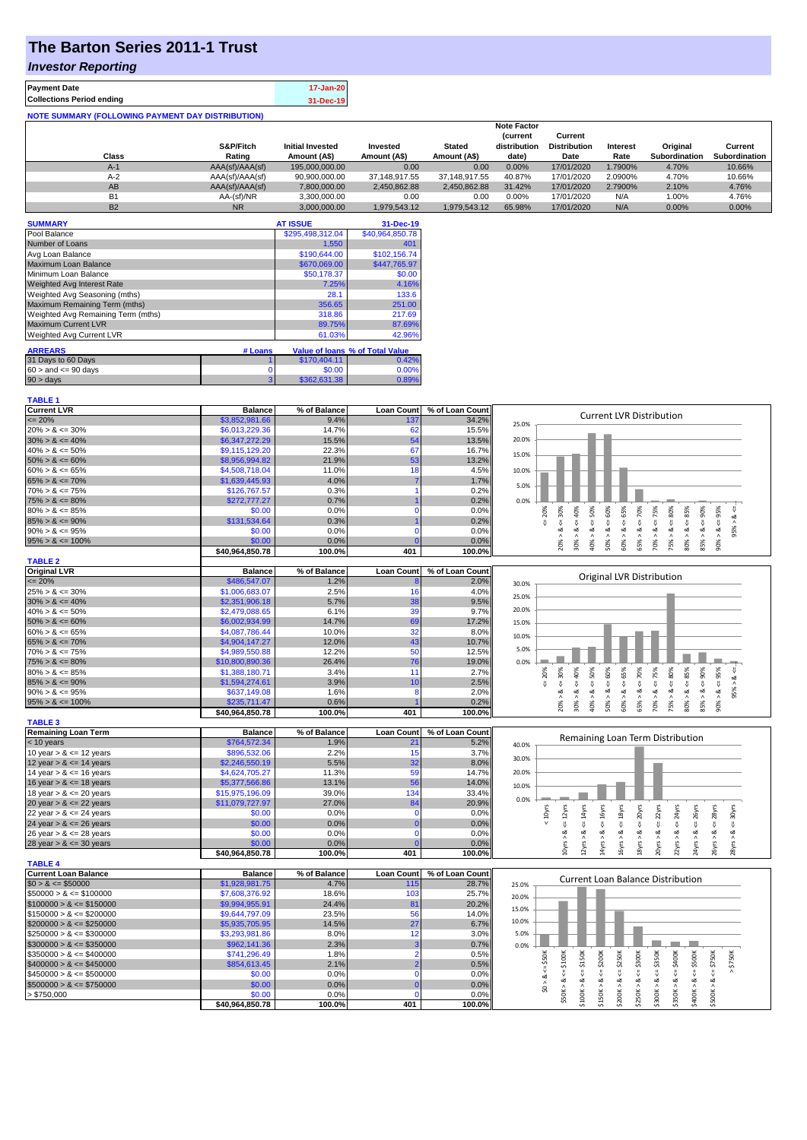# **The Barton Series 2011-1 Trust**

### *Investor Reporting*

| <b>Payment Date</b>                                      | 17-Jan-20 |
|----------------------------------------------------------|-----------|
| <b>Collections Period ending</b>                         | 31-Dec-19 |
| <b>NOTE SUMMARY (FOLLOWING PAYMENT DAY DISTRIBUTION)</b> |           |

|           |                 |                         |               |               | <b>Note Factor</b> |                     |                 |                      |               |
|-----------|-----------------|-------------------------|---------------|---------------|--------------------|---------------------|-----------------|----------------------|---------------|
|           |                 |                         |               |               | <b>Current</b>     | Current             |                 |                      |               |
|           | S&P/Fitch       | <b>Initial Invested</b> | Invested      | <b>Stated</b> | distribution       | <b>Distribution</b> | <b>Interest</b> | Original             | Current       |
| Class     | Rating          | Amount (A\$)            | Amount (A\$)  | Amount (A\$)  | date)              | Date                | Rate            | <b>Subordination</b> | Subordination |
| $A-1$     | AAA(sf)/AAA(sf) | 195,000,000.00          | 0.00          | 0.00          | 0.00%              | 17/01/2020          | .7900%          | 4.70%                | 10.66%        |
| $A-2$     | AAA(sf)/AAA(sf) | 90,900,000.00           | 37.148.917.55 | 37.148.917.55 | 40.87%             | 17/01/2020          | 2.0900%         | 4.70%                | 10.66%        |
| AB        | AAA(sf)/AAA(sf) | 7.800.000.00            | 2.450.862.88  | 2.450.862.88  | 31.42%             | 17/01/2020          | 2.7900%         | 2.10%                | 4.76%         |
| <b>B1</b> | AA-(sf)/NR      | 3.300.000.00            | 0.00          | 0.00          | 0.00%              | 17/01/2020          | N/A             | 1.00%                | 4.76%         |
| <b>B2</b> | <b>NR</b>       | 3.000.000.00            | 1.979.543.12  | 1.979.543.12  | 65.98%             | 17/01/2020          | N/A             | 0.00%                | 0.00%         |

| <b>SUMMARY</b>                     |         | <b>AT ISSUE</b>  | 31-Dec-19                       |
|------------------------------------|---------|------------------|---------------------------------|
| Pool Balance                       |         | \$295,498,312.04 | \$40,964,850.78                 |
| Number of Loans                    |         | 1,550            | 401                             |
| Avg Loan Balance                   |         | \$190,644.00     | \$102.156.74                    |
| Maximum Loan Balance               |         | \$670,069.00     | \$447,765.97                    |
| Minimum Loan Balance               |         | \$50,178.37      | \$0.00                          |
| <b>Weighted Avg Interest Rate</b>  |         | 7.25%            | 4.16%                           |
| Weighted Avg Seasoning (mths)      |         | 28.1             | 133.6                           |
| Maximum Remaining Term (mths)      |         | 356.65           | 251.00                          |
| Weighted Avg Remaining Term (mths) |         | 318.86           | 217.69                          |
| <b>Maximum Current LVR</b>         |         | 89.75%           | 87.69%                          |
| <b>Weighted Avg Current LVR</b>    |         | 61.03%           | 42.96%                          |
| <b>ARREARS</b>                     | # Loans |                  | Value of loans % of Total Value |
| 31 Days to 60 Days                 |         | \$170,404.11     | 0.42%                           |
| $60 >$ and $\leq 90$ days          | 0       | \$0.00           | 0.00%                           |
| 90 > days                          | 3       | \$362,631,38     | 0.89%                           |

| <b>TABLE 1</b>              |                 |                |                   |                 |                                                                                                                                                                                                                         |
|-----------------------------|-----------------|----------------|-------------------|-----------------|-------------------------------------------------------------------------------------------------------------------------------------------------------------------------------------------------------------------------|
| <b>Current LVR</b>          | <b>Balance</b>  | % of Balance   | <b>Loan Count</b> | % of Loan Count |                                                                                                                                                                                                                         |
| $\epsilon = 20\%$           | \$3,852,981.66  | 9.4%           | 137               | 34.2%           | <b>Current LVR Distribution</b><br>25.0%                                                                                                                                                                                |
| $20\% > 8 \le 30\%$         | \$6,013,229.36  | 14.7%          | 62                | 15.5%           |                                                                                                                                                                                                                         |
| $30\% > 8 \le 40\%$         | \$6,347,272.29  | 15.5%          | 54                | 13.5%           | 20.0%                                                                                                                                                                                                                   |
| $40\% > 8 \le 50\%$         | \$9,115,129.20  | 22.3%          | 67                | 16.7%           |                                                                                                                                                                                                                         |
| $50\% > 8 \le 60\%$         | \$8,956,994.82  | 21.9%          | 53                | 13.2%           | 15.0%                                                                                                                                                                                                                   |
| $60\% > 8 \le 65\%$         | \$4,508,718.04  | 11.0%          | 18                | 4.5%            | 10.0%                                                                                                                                                                                                                   |
| $65\% > 8 \le 70\%$         | \$1,639,445.93  | 4.0%           |                   | 1.7%            |                                                                                                                                                                                                                         |
| $70\% > 8 \le 75\%$         | \$126,767.57    | 0.3%           |                   | 0.2%            | 5.0%                                                                                                                                                                                                                    |
| $75\% > 8 \le 80\%$         | \$272,777.27    | 0.7%           |                   | 0.2%            | 0.0%                                                                                                                                                                                                                    |
| $80\% > 8 \le 85\%$         | \$0.00          | 0.0%           | $\Omega$          | 0.0%            | 20%                                                                                                                                                                                                                     |
| $85\% > 8 \le 90\%$         | \$131,534.64    | 0.3%           |                   | 0.2%            | $8c = 40%$<br>$<=50\%$<br>$8 - 70%$<br>$4 = 95\%$<br>$4 = 30%$<br>$8c = 75%$<br>$<=80\%$<br>ż<br>W                                                                                                                      |
| $90\% > 8 \le 95\%$         | \$0.00          | 0.0%           | $\Omega$          | 0.0%            | 95%<br>∞<br>త                                                                                                                                                                                                           |
| $95\% > 8 \le 100\%$        | \$0.00          | 0.0%           |                   | 0.0%            | $50\% > 8 <= 60\%$<br>$60\% > 8 \leq 65\%$<br>$80\% > 8 <= 85\%$<br>$85\% > 8 <= 90\%$<br>$90\% > 8.$<br>30% ><br>40% ><br>65% ><br>70% ><br>75% >                                                                      |
|                             | \$40,964,850.78 | 100.0%         | 401               | 100.0%          | 20%                                                                                                                                                                                                                     |
| <b>TABLE 2</b>              |                 |                |                   |                 |                                                                                                                                                                                                                         |
| <b>Original LVR</b>         | <b>Balance</b>  | % of Balance   | <b>Loan Count</b> | % of Loan Count |                                                                                                                                                                                                                         |
| $\leq$ 20%                  | \$486,547.07    | 1.2%           |                   | 2.0%            | Original LVR Distribution<br>30.0%                                                                                                                                                                                      |
| $25\% > 8 \le 30\%$         | \$1,006,683.07  | 2.5%           | 16                | 4.0%            |                                                                                                                                                                                                                         |
| $30\% > 8 \le 40\%$         | \$2,351,906.18  | 5.7%           | 38                | 9.5%            | 25.0%                                                                                                                                                                                                                   |
| $40\% > 8 \le 50\%$         | \$2,479,088.65  | 6.1%           | 39                | 9.7%            | 20.0%                                                                                                                                                                                                                   |
| $50\% > 8 \le 60\%$         | \$6,002,934.99  | 14.7%          | 69                | 17.2%           | 15.0%                                                                                                                                                                                                                   |
| $60\% > 8 \le 65\%$         | \$4,087,786.44  | 10.0%          | 32                | 8.0%            |                                                                                                                                                                                                                         |
| $65\% > 8 \le 70\%$         | \$4,904,147.27  | 12.0%          | 43                | 10.7%           | 10.0%                                                                                                                                                                                                                   |
| $70\% > 8 \le 75\%$         | \$4,989,550.88  | 12.2%          | 50                | 12.5%           | 5.0%                                                                                                                                                                                                                    |
| $75\% > 8 \le 80\%$         | \$10,800,890.36 | 26.4%          | 76                | 19.0%           | 0.0%                                                                                                                                                                                                                    |
| $80\% > 8 \le 85\%$         | \$1,388,180.71  | 3.4%           | 11                | 2.7%            |                                                                                                                                                                                                                         |
| $85\% > 8 \le 90\%$         | \$1,594,274.61  | 3.9%           | 10                | 2.5%            | 40%<br>$50\%$<br>$8 - 70%$<br>$<=80\%$<br>85%<br>$95\%$<br>30%<br>20%<br>ಷ                                                                                                                                              |
|                             |                 |                | 8                 |                 | $<=$<br>8 < 1<br>쁬<br>$\ddot{\mathbf{v}}$<br>$\sqrt{ }$<br>95% ><br>ಷ<br>ಷ                                                                                                                                              |
| $90\% > 8 \le 95\%$         | \$637,149.08    | 1.6%           |                   | 2.0%            |                                                                                                                                                                                                                         |
| $95\% > 8 \le 100\%$        | \$235,711.47    | 0.6%<br>100.0% | 401               | 0.2%<br>100.0%  | $85\% > 8 <= 90\%$<br>$50\% > 8 \leq 60\%$<br>$60\% > 8 \leq 65\%$<br>$70\% > 8 \le x = 75\%$<br>$80\% > 8 <=$<br>$30\%$ $>$<br>40% ><br>65% ><br>75% ><br>90% ><br>20% >                                               |
| <b>TABLE 3</b>              | \$40,964,850.78 |                |                   |                 |                                                                                                                                                                                                                         |
| <b>Remaining Loan Term</b>  | <b>Balance</b>  | % of Balance   | <b>Loan Count</b> | % of Loan Count |                                                                                                                                                                                                                         |
| < 10 years                  | \$764,572.34    | 1.9%           | 21                | 5.2%            | Remaining Loan Term Distribution                                                                                                                                                                                        |
| 10 year $> 8 \le 12$ years  | \$896,532.06    | 2.2%           | 15                | 3.7%            | 40.0%                                                                                                                                                                                                                   |
| 12 year $> 8 \le 14$ years  | \$2,246,550.19  | 5.5%           | 32                | 8.0%            | 30.0%                                                                                                                                                                                                                   |
| 14 year $> 8 \le 16$ years  | \$4,624,705.27  | 11.3%          | 59                | 14.7%           | 20.0%                                                                                                                                                                                                                   |
| 16 year $> 8 \le 18$ years  | \$5,377,566.86  | 13.1%          | 56                | 14.0%           |                                                                                                                                                                                                                         |
| 18 year $> 8 \le 20$ years  | \$15,975,196.09 | 39.0%          | 134               | 33.4%           | 10.0%                                                                                                                                                                                                                   |
| 20 year $> 8 \le 22$ years  | \$11,079,727.97 | 27.0%          | 84                | 20.9%           | 0.0%                                                                                                                                                                                                                    |
| 22 year $> 8 \le 24$ years  | \$0.00          | 0.0%           | $\Omega$          | 0.0%            | $\epsilon$ = 22 $\gamma$ rs<br>$\leq$ 14yrs<br>$\leq$ 16 $yrs$<br>$\leq$ $18$ yrs<br>$\leq 20$ yrs<br>$\leq$ = 24yrs<br>$\leq$ = 30 $yrs$<br>$< 10$ yrs<br>$\leq 12$ yrs<br>$\leq$ 26yrs<br>$\epsilon$ = 28 $\gamma$ rs |
| 24 year $> 8 \le 26$ years  | \$0.00          | 0.0%           | $\sqrt{ }$        | 0.0%            |                                                                                                                                                                                                                         |
| 26 year $> 8 \le 28$ years  | \$0.00          | 0.0%           | $\Omega$          | 0.0%            |                                                                                                                                                                                                                         |
| 28 year $> 8 \le 30$ years  | \$0.00          | 0.0%           |                   | 0.0%            |                                                                                                                                                                                                                         |
|                             | \$40,964,850.78 | 100.0%         | 401               | 100.0%          | 20yrs > 8<br>10yrs > 8<br>12yrs > 8<br>14yrs > 8<br>16yrs > 8<br>8yrs > 8<br>22yrs > 8<br>24yrs > 8<br>26yrs > 8<br>28yrs > 8                                                                                           |
| <b>TABLE 4</b>              |                 |                |                   |                 |                                                                                                                                                                                                                         |
| <b>Current Loan Balance</b> | <b>Balance</b>  | % of Balance   | <b>Loan Count</b> | % of Loan Count |                                                                                                                                                                                                                         |
| $$0 > 8 \le $50000$         | \$1,928,981.75  | 4.7%           | 115               | 28.7%           | <b>Current Loan Balance Distribution</b><br>25.0%                                                                                                                                                                       |
| $$50000 > 8 \le $100000$    | \$7,608,376.92  | 18.6%          | 103               | 25.7%           |                                                                                                                                                                                                                         |
| $$100000 > 8 \le $150000$   | \$9,994,955.91  | 24.4%          | 81                | 20.2%           | 20.0%                                                                                                                                                                                                                   |
| $$150000 > 8 \leq $200000$  | \$9,644,797.09  | 23.5%          | 56                | 14.0%           | 15.0%                                                                                                                                                                                                                   |
| $$200000 > 8 \leq $250000$  | \$5,935,705.95  | 14.5%          | 27                | 6.7%            | 10.0%                                                                                                                                                                                                                   |
| $$250000 > 8 \leq $300000$  | \$3,293,981.86  | 8.0%           | 12                | 3.0%            | 5.0%                                                                                                                                                                                                                    |
| $$300000 > 8 \leq $350000$  | \$962,141.36    | 2.3%           | 3                 | 0.7%            |                                                                                                                                                                                                                         |
| $$350000 > 8 \leq $400000$  | \$741,296.49    | 1.8%           | $\overline{2}$    | 0.5%            | 0.0%                                                                                                                                                                                                                    |
|                             |                 |                |                   |                 | $\le$ \$150K<br>\$250K<br>\$200K<br>$\Leftarrow$ \$400K<br>$\Leftarrow$ \$500K<br>\$50K<br>\$750K<br>$4 = $750K$                                                                                                        |
| $$400000 > 8 \leq $450000$  | \$854,613.45    | 2.1%           |                   | 0.5%            | IJ<br>₩<br>V                                                                                                                                                                                                            |
| $$450000 > 8 \leq $500000$  | \$0.00          | 0.0%           | $\Omega$          | 0.0%            | ∞                                                                                                                                                                                                                       |
| $$500000 > 8 \leq $750000$  | \$0.00          | 0.0%           | $\Omega$          | 0.0%            | $$250K > 8 \Leftarrow $300K$<br>\$300K > & <= \$350K<br>$$50K > 8 <= $100K$<br>\$0 > 8<br>\$100K > 8<br>\$350K > 8<br>\$500K > 8<br>\$150K > 8<br>\$200K > 8                                                            |
| > \$750,000                 | \$0.00          | 0.0%           | O                 | 0.0%            | \$400K>                                                                                                                                                                                                                 |
|                             | \$40,964,850.78 | 100.0%         | 401               | 100.0%          |                                                                                                                                                                                                                         |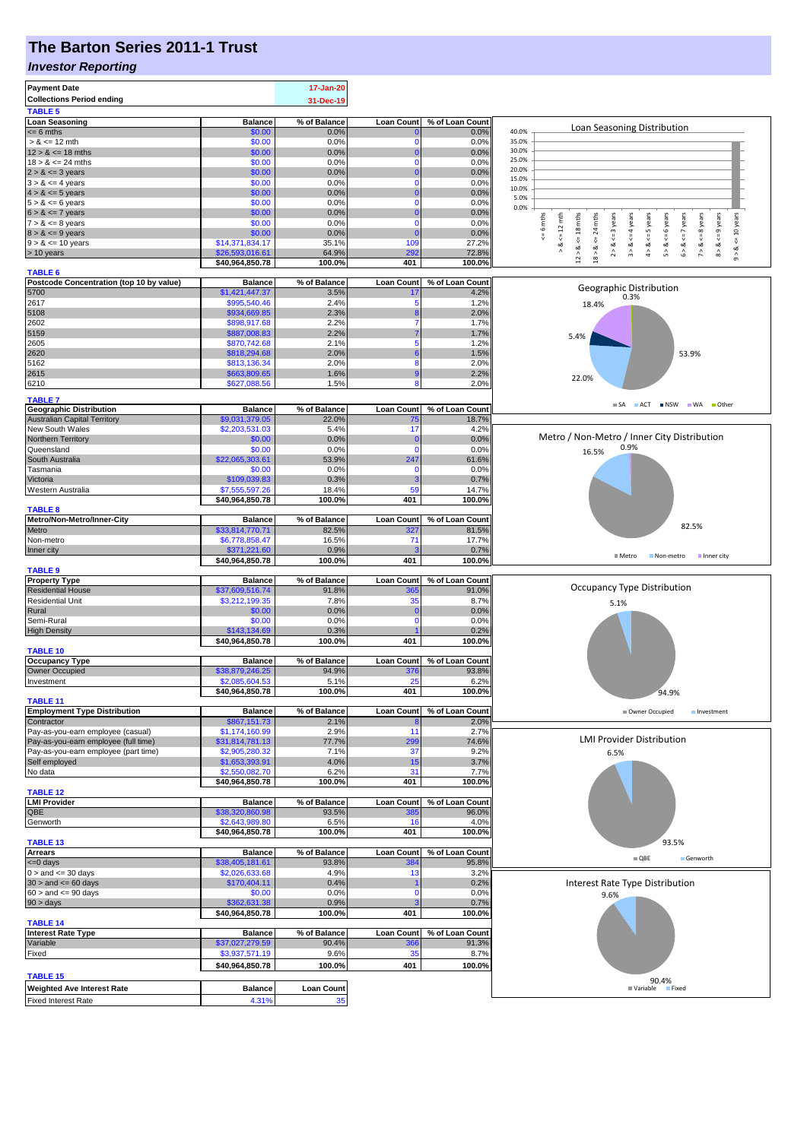## **The Barton Series 2011-1 Trust**

#### *Investor Reporting*

| <b>Payment Date</b>                          |                                   | 17-Jan-20         |                   |                 |                                                                                                                                                                                                                                                   |
|----------------------------------------------|-----------------------------------|-------------------|-------------------|-----------------|---------------------------------------------------------------------------------------------------------------------------------------------------------------------------------------------------------------------------------------------------|
| <b>Collections Period ending</b>             |                                   | 31-Dec-19         |                   |                 |                                                                                                                                                                                                                                                   |
| <b>TABLE 5</b>                               |                                   |                   |                   |                 |                                                                                                                                                                                                                                                   |
| <b>Loan Seasoning</b>                        | <b>Balance</b>                    | % of Balance      | <b>Loan Count</b> | % of Loan Count |                                                                                                                                                                                                                                                   |
| $= 6$ mths                                   | \$0.00                            | 0.0%              |                   | 0.0%            | <b>Loan Seasoning Distribution</b><br>40.0%                                                                                                                                                                                                       |
| $> 8 \le 12$ mth                             | \$0.00                            | 0.0%              | 0                 | 0.0%            | 35.0%                                                                                                                                                                                                                                             |
| $12 > 8 \le 18$ mths                         | \$0.00                            | 0.0%              | 0                 | 0.0%            | 30.0%<br>25.0%                                                                                                                                                                                                                                    |
| $18 > 8 \le 24$ mths                         | \$0.00                            | 0.0%              | $\mathbf 0$       | 0.0%            | 20.0%                                                                                                                                                                                                                                             |
| $2 > 8 \le 3$ years                          | \$0.00<br>\$0.00                  | 0.0%<br>0.0%      | $\Omega$<br>0     | 0.0%<br>0.0%    | 15.0%                                                                                                                                                                                                                                             |
| $3 > 8 \le 4$ years<br>$4 > 8 \le 5$ years   | \$0.00                            | 0.0%              | $\Omega$          | 0.0%            | 10.0%                                                                                                                                                                                                                                             |
| $5 > 8 \le 6$ years                          | \$0.00                            | 0.0%              | $\mathbf 0$       | 0.0%            | 5.0%                                                                                                                                                                                                                                              |
| $6 > 8 \le 7$ years                          | \$0.00                            | 0.0%              | $\Omega$          | 0.0%            | 0.0%                                                                                                                                                                                                                                              |
| $7 > 8 \le 8$ years                          | \$0.00                            | 0.0%              | $\Omega$          | 0.0%            | $= 6$ mths<br>$12 > 8 \le 18$ mths<br>24 mths<br>$2 > 8 < = 3$ years<br>$4 > 8 < z = 5$ years<br>$6 > 8 < z < 7$ years<br>$8 > 8 < = 9$ years<br>$<=10$ years<br>$\leq 12$ mth<br>$\leq$ = 4 years<br>$5 > 8 <$ = 6 years<br>$7 > 8 \leq 8$ years |
| $8 > 8 \le 9$ years                          | \$0.00                            | 0.0%              | $\Omega$          | 0.0%            |                                                                                                                                                                                                                                                   |
| $9 > 8 \le 10$ years                         | \$14,371,834.17                   | 35.1%             | 109               | 27.2%           | V<br>œ<br>ಯ<br>ಷ                                                                                                                                                                                                                                  |
| > 10 years                                   | \$26,593,016.61                   | 64.9%             | 292               | 72.8%           | $\wedge$<br>$\stackrel{\wedge}{\scriptstyle\pi}$<br>$18 >$<br>$\hat{\circ}$                                                                                                                                                                       |
|                                              | \$40,964,850.78                   | 100.0%            | 401               | 100.0%          |                                                                                                                                                                                                                                                   |
| <b>TABLE 6</b>                               |                                   |                   |                   |                 |                                                                                                                                                                                                                                                   |
| Postcode Concentration (top 10 by value)     | <b>Balance</b>                    | % of Balance      | <b>Loan Count</b> | % of Loan Count | Geographic Distribution                                                                                                                                                                                                                           |
| 5700                                         | \$1,421,447.37<br>\$995,540.46    | 3.5%<br>2.4%      | 17<br>5           | 4.2%<br>1.2%    | 0.3%                                                                                                                                                                                                                                              |
| 2617<br>5108                                 | \$934,669.85                      | 2.3%              | 8                 | 2.0%            | 18.4%                                                                                                                                                                                                                                             |
| 2602                                         | \$898,917.68                      | 2.2%              | 7                 | 1.7%            |                                                                                                                                                                                                                                                   |
| 5159                                         | \$887,008.83                      | 2.2%              |                   | 1.7%            |                                                                                                                                                                                                                                                   |
| 2605                                         | \$870,742.68                      | 2.1%              | 5                 | 1.2%            | 5.4%                                                                                                                                                                                                                                              |
| 2620                                         | \$818,294.68                      | 2.0%              | 6                 | 1.5%            | 53.9%                                                                                                                                                                                                                                             |
| 5162                                         | \$813,136.34                      | 2.0%              | 8                 | 2.0%            |                                                                                                                                                                                                                                                   |
| 2615                                         | \$663,809.65                      | 1.6%              | 9                 | 2.2%            | 22.0%                                                                                                                                                                                                                                             |
| 6210                                         | \$627,088.56                      | 1.5%              | 8                 | 2.0%            |                                                                                                                                                                                                                                                   |
| <b>TABLE 7</b>                               |                                   |                   |                   |                 |                                                                                                                                                                                                                                                   |
| <b>Geographic Distribution</b>               | <b>Balance</b>                    | % of Balance      | <b>Loan Count</b> | % of Loan Count | $\blacksquare$ SA<br>ACT NSW WA Other                                                                                                                                                                                                             |
| <b>Australian Capital Territory</b>          | \$9,031,379.05                    | 22.0%             | 75                | 18.7%           |                                                                                                                                                                                                                                                   |
| New South Wales                              | \$2,203,531.03                    | 5.4%              | 17                | 4.2%            |                                                                                                                                                                                                                                                   |
| Northern Territory                           | \$0.00                            | 0.0%              | $\bf{0}$          | 0.0%            | Metro / Non-Metro / Inner City Distribution                                                                                                                                                                                                       |
| Queensland                                   | \$0.00                            | 0.0%              | $\Omega$          | 0.0%            | 0.9%<br>16.5%                                                                                                                                                                                                                                     |
| South Australia                              | \$22,065,303.61                   | 53.9%             | 247               | 61.6%           |                                                                                                                                                                                                                                                   |
| Tasmania                                     | \$0.00                            | 0.0%              | 0                 | 0.0%            |                                                                                                                                                                                                                                                   |
| Victoria                                     | \$109,039.83                      | 0.3%              | 3                 | 0.7%            |                                                                                                                                                                                                                                                   |
| Western Australia                            | \$7,555,597.26                    | 18.4%             | 59                | 14.7%           |                                                                                                                                                                                                                                                   |
|                                              | \$40,964,850.78                   | 100.0%            | 401               | 100.0%          |                                                                                                                                                                                                                                                   |
| <b>TABLE 8</b><br>Metro/Non-Metro/Inner-City | <b>Balance</b>                    | % of Balance      | <b>Loan Count</b> | % of Loan Count |                                                                                                                                                                                                                                                   |
| Metro                                        | \$33,814,770.71                   | 82.5%             | 327               | 81.5%           | 82.5%                                                                                                                                                                                                                                             |
| Non-metro                                    | \$6,778,858.47                    | 16.5%             | 71                | 17.7%           |                                                                                                                                                                                                                                                   |
| Inner city                                   | \$371,221.60                      | 0.9%              |                   | 0.7%            |                                                                                                                                                                                                                                                   |
|                                              | \$40,964,850.78                   | 100.0%            | 401               | 100.0%          | <b>■ Metro</b><br>Non-metro<br>Inner city                                                                                                                                                                                                         |
| <b>TABLE 9</b>                               |                                   |                   |                   |                 |                                                                                                                                                                                                                                                   |
| <b>Property Type</b>                         | <b>Balance</b>                    | % of Balance      | <b>Loan Count</b> | % of Loan Count |                                                                                                                                                                                                                                                   |
| <b>Residential House</b>                     | \$37,609,516.74                   | 91.8%             | 365               | 91.0%           | Occupancy Type Distribution                                                                                                                                                                                                                       |
| <b>Residential Unit</b>                      | \$3,212,199.35                    | 7.8%              | 35                | 8.7%            | 5.1%                                                                                                                                                                                                                                              |
| Rural                                        | \$0.00                            | 0.0%              | $\bf{0}$          | 0.0%            |                                                                                                                                                                                                                                                   |
| Semi-Rural                                   | \$0.00                            | 0.0%              | 0                 | 0.0%            |                                                                                                                                                                                                                                                   |
| <b>High Density</b>                          | \$143,134.69<br>\$40,964,850.78   | 0.3%<br>100.0%    | 401               | 0.2%<br>100.0%  |                                                                                                                                                                                                                                                   |
| <b>TABLE 10</b>                              |                                   |                   |                   |                 |                                                                                                                                                                                                                                                   |
| <b>Occupancy Type</b>                        | <b>Balance</b>                    | % of Balance      | <b>Loan Count</b> | % of Loan Count |                                                                                                                                                                                                                                                   |
| Owner Occupied                               | \$38,879,246.25                   | 94.9%             | 376               | 93.8%           |                                                                                                                                                                                                                                                   |
| Investment                                   | \$2,085,604.53                    | 5.1%              | 25                | 6.2%            |                                                                                                                                                                                                                                                   |
|                                              | \$40,964,850.78                   | 100.0%            | 401               | 100.0%          | 94.9%                                                                                                                                                                                                                                             |
| <b>TABLE 11</b>                              |                                   |                   |                   |                 |                                                                                                                                                                                                                                                   |
| <b>Employment Type Distribution</b>          | <b>Balance</b>                    | % of Balance      | <b>Loan Count</b> | % of Loan Count | Owner Occupied<br>Investment                                                                                                                                                                                                                      |
| Contractor                                   | \$867,151.73                      | 2.1%              |                   | 2.0%            |                                                                                                                                                                                                                                                   |
| Pay-as-you-earn employee (casual)            | \$1,174,160.99                    | 2.9%              | 11                | 2.7%            | <b>LMI Provider Distribution</b>                                                                                                                                                                                                                  |
| Pay-as-you-earn employee (full time)         | \$31,814,781.13                   | 77.7%             | 299               | 74.6%           |                                                                                                                                                                                                                                                   |
| Pay-as-you-earn employee (part time)         | \$2,905,280.32                    | 7.1%              | 37                | 9.2%            | 6.5%                                                                                                                                                                                                                                              |
| Self employed                                | \$1,653,393.91                    | 4.0%              | 15                | 3.7%            |                                                                                                                                                                                                                                                   |
| No data                                      | \$2,550,082.70<br>\$40,964,850.78 | 6.2%<br>100.0%    | 31<br>401         | 7.7%<br>100.0%  |                                                                                                                                                                                                                                                   |
| <b>TABLE 12</b>                              |                                   |                   |                   |                 |                                                                                                                                                                                                                                                   |
| <b>LMI Provider</b>                          | <b>Balance</b>                    | % of Balance      | <b>Loan Count</b> | % of Loan Count |                                                                                                                                                                                                                                                   |
| QBE                                          | \$38,320,860.98                   | 93.5%             | 385               | 96.0%           |                                                                                                                                                                                                                                                   |
| Genworth                                     | \$2,643,989.80                    | 6.5%              | 16                | 4.0%            |                                                                                                                                                                                                                                                   |
|                                              | \$40,964,850.78                   | 100.0%            | 401               | 100.0%          |                                                                                                                                                                                                                                                   |
| <b>TABLE 13</b>                              |                                   |                   |                   |                 | 93.5%                                                                                                                                                                                                                                             |
| <b>Arrears</b>                               | <b>Balance</b>                    | % of Balance      | <b>Loan Count</b> | % of Loan Count | $\blacksquare$ QBE<br>Genworth                                                                                                                                                                                                                    |
| $\leq 0$ days                                | \$38,405,181.61                   | 93.8%             | 384               | 95.8%           |                                                                                                                                                                                                                                                   |
| $0 >$ and $\lt = 30$ days                    | \$2,026,633.68                    | 4.9%              | 13                | 3.2%            |                                                                                                                                                                                                                                                   |
| $30 >$ and $\leq 60$ days                    | \$170,404.11                      | 0.4%              |                   | 0.2%            | Interest Rate Type Distribution                                                                                                                                                                                                                   |
| $60 >$ and $\leq 90$ days                    | \$0.00<br>\$362,631.38            | 0.0%<br>0.9%      | 0                 | 0.0%<br>0.7%    | 9.6%                                                                                                                                                                                                                                              |
| 90 > days                                    | \$40,964,850.78                   | 100.0%            | 401               | 100.0%          |                                                                                                                                                                                                                                                   |
| <b>TABLE 14</b>                              |                                   |                   |                   |                 |                                                                                                                                                                                                                                                   |
| <b>Interest Rate Type</b>                    | <b>Balance</b>                    | % of Balance      | <b>Loan Count</b> | % of Loan Count |                                                                                                                                                                                                                                                   |
| Variable                                     | \$37,027,279.59                   | 90.4%             | 366               | 91.3%           |                                                                                                                                                                                                                                                   |
| Fixed                                        | \$3,937,571.19                    | 9.6%              | 35                | 8.7%            |                                                                                                                                                                                                                                                   |
|                                              | \$40,964,850.78                   | 100.0%            | 401               | 100.0%          |                                                                                                                                                                                                                                                   |
| <b>TABLE 15</b>                              |                                   |                   |                   |                 |                                                                                                                                                                                                                                                   |
| <b>Weighted Ave Interest Rate</b>            | <b>Balance</b>                    | <b>Loan Count</b> |                   |                 | 90.4%<br><b>■ Variable</b><br>Fixed                                                                                                                                                                                                               |
| <b>Fixed Interest Rate</b>                   | 4.31%                             | 35                |                   |                 |                                                                                                                                                                                                                                                   |